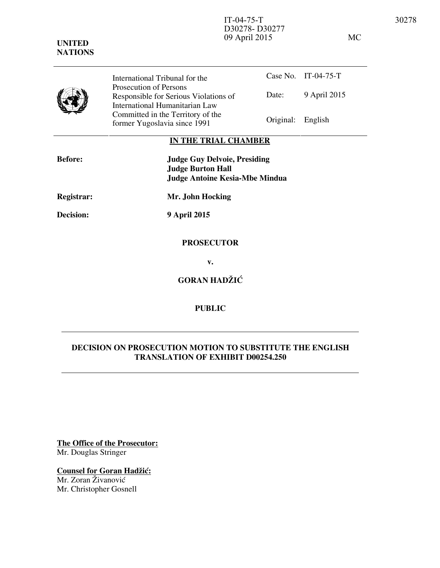| <b>UNITED</b><br><b>NATIONS</b> |                                | D30278-D30277<br>09 April 2015 |                     | МC |
|---------------------------------|--------------------------------|--------------------------------|---------------------|----|
|                                 | International Tribunal for the |                                | Case No. IT-04-75-T |    |



Date: 9 April 2015 International Tribunal for the Prosecution of Persons Responsible for Serious Violations of International Humanitarian Law Committed in the Territory of the Former Yugoslavia since 1991 Original: English

## **IN THE TRIAL CHAMBER**

| <b>Before:</b>   | <b>Judge Guy Delvoie, Presiding</b><br><b>Judge Burton Hall</b><br><b>Judge Antoine Kesia-Mbe Mindua</b> |
|------------------|----------------------------------------------------------------------------------------------------------|
| Registrar:       | Mr. John Hocking                                                                                         |
| <b>Decision:</b> | <b>9 April 2015</b>                                                                                      |
|                  | <b>PROSECUTOR</b>                                                                                        |

**v.** 

**GORAN HADŽIĆ** 

## **PUBLIC**

## **DECISION ON PROSECUTION MOTION TO SUBSTITUTE THE ENGLISH TRANSLATION OF EXHIBIT D00254.250**

**The Office of the Prosecutor:** Mr. Douglas Stringer

**Counsel for Goran Hadžić:** 

Mr. Zoran Živanović Mr. Christopher Gosnell